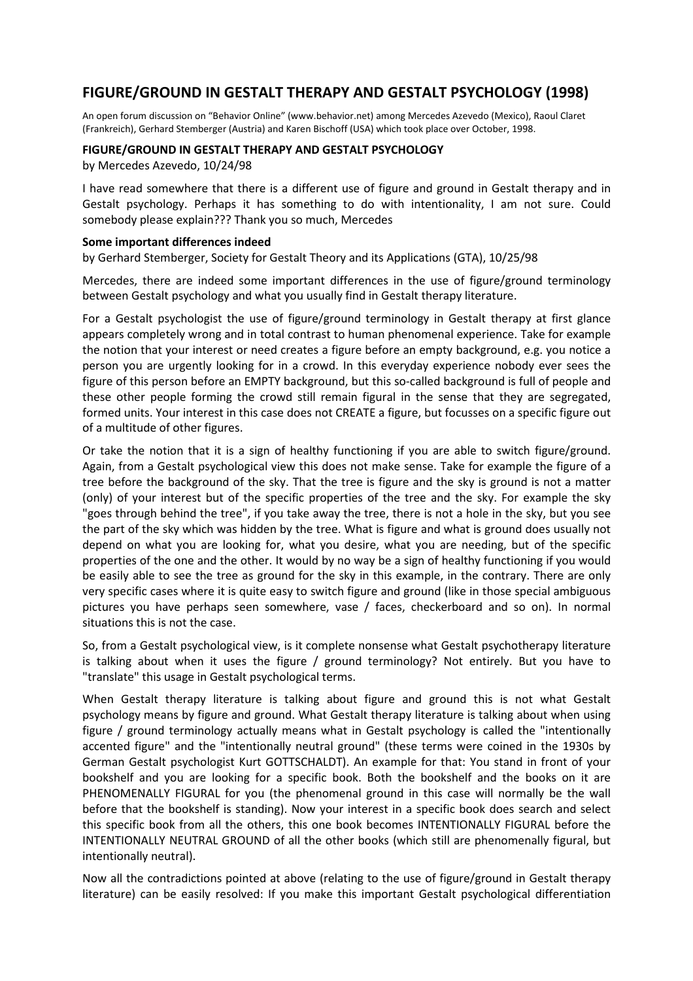# **FIGURE/GROUND IN GESTALT THERAPY AND GESTALT PSYCHOLOGY (1998)**

An open forum discussion on "Behavior Online" (www.behavior.net) among Mercedes Azevedo (Mexico), Raoul Claret (Frankreich), Gerhard Stemberger (Austria) and Karen Bischoff (USA) which took place over October, 1998.

#### **FIGURE/GROUND IN GESTALT THERAPY AND GESTALT PSYCHOLOGY**

by Mercedes Azevedo, 10/24/98

I have read somewhere that there is a different use of figure and ground in Gestalt therapy and in Gestalt psychology. Perhaps it has something to do with intentionality, I am not sure. Could somebody please explain??? Thank you so much, Mercedes

#### **Some important differences indeed**

by Gerhard Stemberger, Society for Gestalt Theory and its Applications (GTA), 10/25/98

Mercedes, there are indeed some important differences in the use of figure/ground terminology between Gestalt psychology and what you usually find in Gestalt therapy literature.

For a Gestalt psychologist the use of figure/ground terminology in Gestalt therapy at first glance appears completely wrong and in total contrast to human phenomenal experience. Take for example the notion that your interest or need creates a figure before an empty background, e.g. you notice a person you are urgently looking for in a crowd. In this everyday experience nobody ever sees the figure of this person before an EMPTY background, but this so-called background is full of people and these other people forming the crowd still remain figural in the sense that they are segregated, formed units. Your interest in this case does not CREATE a figure, but focusses on a specific figure out of a multitude of other figures.

Or take the notion that it is a sign of healthy functioning if you are able to switch figure/ground. Again, from a Gestalt psychological view this does not make sense. Take for example the figure of a tree before the background of the sky. That the tree is figure and the sky is ground is not a matter (only) of your interest but of the specific properties of the tree and the sky. For example the sky "goes through behind the tree", if you take away the tree, there is not a hole in the sky, but you see the part of the sky which was hidden by the tree. What is figure and what is ground does usually not depend on what you are looking for, what you desire, what you are needing, but of the specific properties of the one and the other. It would by no way be a sign of healthy functioning if you would be easily able to see the tree as ground for the sky in this example, in the contrary. There are only very specific cases where it is quite easy to switch figure and ground (like in those special ambiguous pictures you have perhaps seen somewhere, vase / faces, checkerboard and so on). In normal situations this is not the case.

So, from a Gestalt psychological view, is it complete nonsense what Gestalt psychotherapy literature is talking about when it uses the figure / ground terminology? Not entirely. But you have to "translate" this usage in Gestalt psychological terms.

When Gestalt therapy literature is talking about figure and ground this is not what Gestalt psychology means by figure and ground. What Gestalt therapy literature is talking about when using figure / ground terminology actually means what in Gestalt psychology is called the "intentionally accented figure" and the "intentionally neutral ground" (these terms were coined in the 1930s by German Gestalt psychologist Kurt GOTTSCHALDT). An example for that: You stand in front of your bookshelf and you are looking for a specific book. Both the bookshelf and the books on it are PHENOMENALLY FIGURAL for you (the phenomenal ground in this case will normally be the wall before that the bookshelf is standing). Now your interest in a specific book does search and select this specific book from all the others, this one book becomes INTENTIONALLY FIGURAL before the INTENTIONALLY NEUTRAL GROUND of all the other books (which still are phenomenally figural, but intentionally neutral).

Now all the contradictions pointed at above (relating to the use of figure/ground in Gestalt therapy literature) can be easily resolved: If you make this important Gestalt psychological differentiation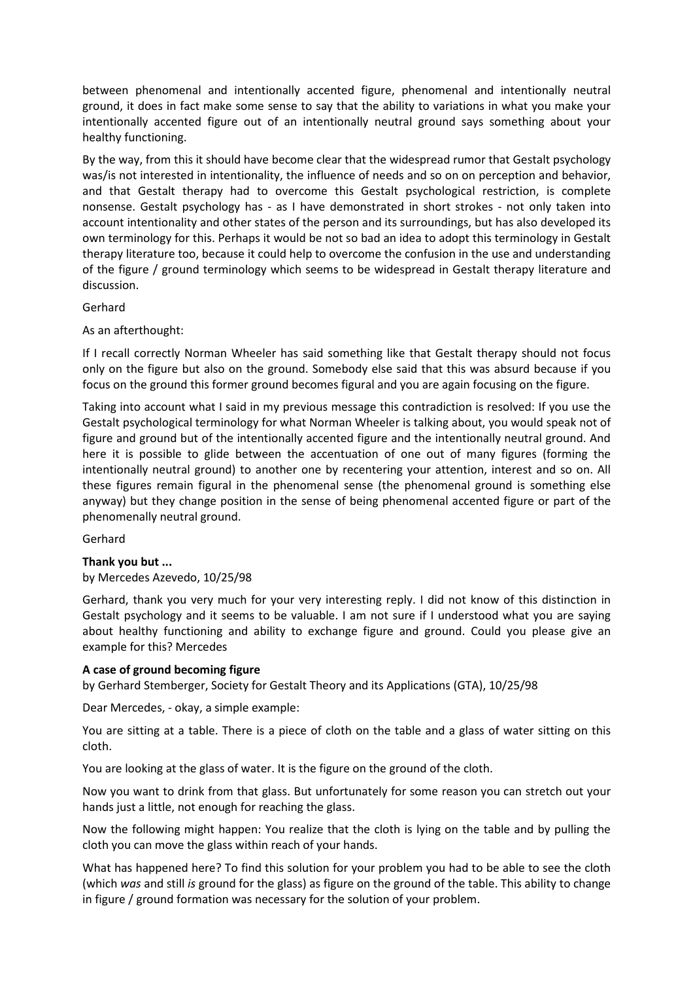between phenomenal and intentionally accented figure, phenomenal and intentionally neutral ground, it does in fact make some sense to say that the ability to variations in what you make your intentionally accented figure out of an intentionally neutral ground says something about your healthy functioning.

By the way, from this it should have become clear that the widespread rumor that Gestalt psychology was/is not interested in intentionality, the influence of needs and so on on perception and behavior, and that Gestalt therapy had to overcome this Gestalt psychological restriction, is complete nonsense. Gestalt psychology has - as I have demonstrated in short strokes - not only taken into account intentionality and other states of the person and its surroundings, but has also developed its own terminology for this. Perhaps it would be not so bad an idea to adopt this terminology in Gestalt therapy literature too, because it could help to overcome the confusion in the use and understanding of the figure / ground terminology which seems to be widespread in Gestalt therapy literature and discussion.

# Gerhard

As an afterthought:

If I recall correctly Norman Wheeler has said something like that Gestalt therapy should not focus only on the figure but also on the ground. Somebody else said that this was absurd because if you focus on the ground this former ground becomes figural and you are again focusing on the figure.

Taking into account what I said in my previous message this contradiction is resolved: If you use the Gestalt psychological terminology for what Norman Wheeler is talking about, you would speak not of figure and ground but of the intentionally accented figure and the intentionally neutral ground. And here it is possible to glide between the accentuation of one out of many figures (forming the intentionally neutral ground) to another one by recentering your attention, interest and so on. All these figures remain figural in the phenomenal sense (the phenomenal ground is something else anyway) but they change position in the sense of being phenomenal accented figure or part of the phenomenally neutral ground.

Gerhard

### **Thank you but ...**

by Mercedes Azevedo, 10/25/98

Gerhard, thank you very much for your very interesting reply. I did not know of this distinction in Gestalt psychology and it seems to be valuable. I am not sure if I understood what you are saying about healthy functioning and ability to exchange figure and ground. Could you please give an example for this? Mercedes

### **A case of ground becoming figure**

by Gerhard Stemberger, Society for Gestalt Theory and its Applications (GTA), 10/25/98

Dear Mercedes, - okay, a simple example:

You are sitting at a table. There is a piece of cloth on the table and a glass of water sitting on this cloth.

You are looking at the glass of water. It is the figure on the ground of the cloth.

Now you want to drink from that glass. But unfortunately for some reason you can stretch out your hands just a little, not enough for reaching the glass.

Now the following might happen: You realize that the cloth is lying on the table and by pulling the cloth you can move the glass within reach of your hands.

What has happened here? To find this solution for your problem you had to be able to see the cloth (which *was* and still *is* ground for the glass) as figure on the ground of the table. This ability to change in figure / ground formation was necessary for the solution of your problem.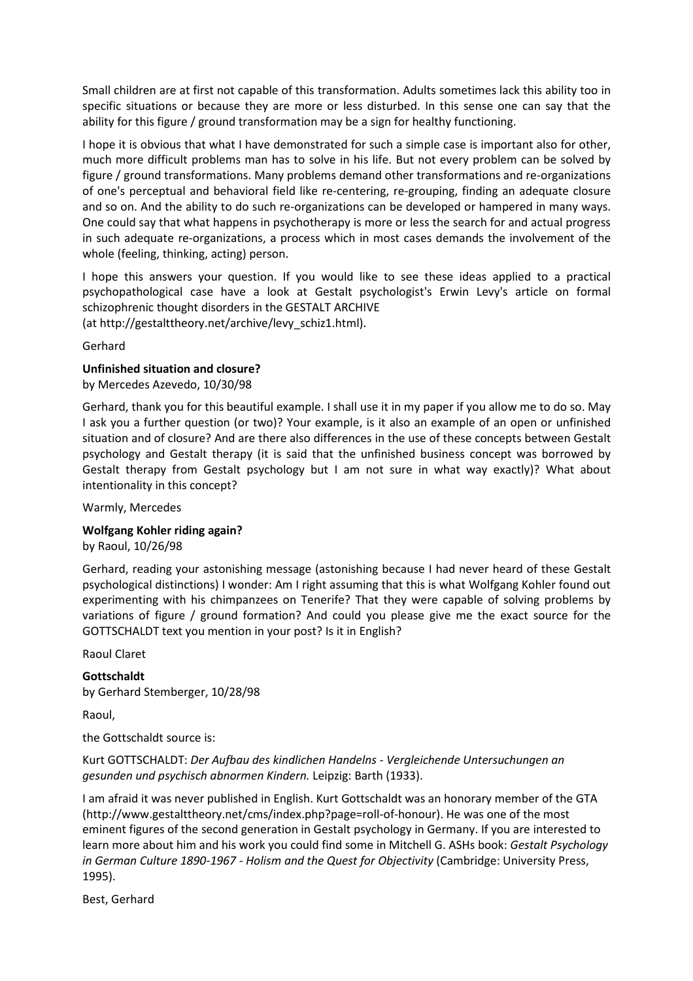Small children are at first not capable of this transformation. Adults sometimes lack this ability too in specific situations or because they are more or less disturbed. In this sense one can say that the ability for this figure / ground transformation may be a sign for healthy functioning.

I hope it is obvious that what I have demonstrated for such a simple case is important also for other, much more difficult problems man has to solve in his life. But not every problem can be solved by figure / ground transformations. Many problems demand other transformations and re-organizations of one's perceptual and behavioral field like re-centering, re-grouping, finding an adequate closure and so on. And the ability to do such re-organizations can be developed or hampered in many ways. One could say that what happens in psychotherapy is more or less the search for and actual progress in such adequate re-organizations, a process which in most cases demands the involvement of the whole (feeling, thinking, acting) person.

I hope this answers your question. If you would like to see these ideas applied to a practical psychopathological case have a look at Gestalt psychologist's Erwin Levy's article on formal schizophrenic thought disorders in the GESTALT ARCHIVE

(at http://gestalttheory.net/archive/levy\_schiz1.html).

Gerhard

### **Unfinished situation and closure?**

by Mercedes Azevedo, 10/30/98

Gerhard, thank you for this beautiful example. I shall use it in my paper if you allow me to do so. May I ask you a further question (or two)? Your example, is it also an example of an open or unfinished situation and of closure? And are there also differences in the use of these concepts between Gestalt psychology and Gestalt therapy (it is said that the unfinished business concept was borrowed by Gestalt therapy from Gestalt psychology but I am not sure in what way exactly)? What about intentionality in this concept?

Warmly, Mercedes

### **Wolfgang Kohler riding again?**

by Raoul, 10/26/98

Gerhard, reading your astonishing message (astonishing because I had never heard of these Gestalt psychological distinctions) I wonder: Am I right assuming that this is what Wolfgang Kohler found out experimenting with his chimpanzees on Tenerife? That they were capable of solving problems by variations of figure / ground formation? And could you please give me the exact source for the GOTTSCHALDT text you mention in your post? Is it in English?

Raoul Claret

### **Gottschaldt**

by Gerhard Stemberger, 10/28/98

Raoul,

the Gottschaldt source is:

Kurt GOTTSCHALDT: *Der Aufbau des kindlichen Handelns - Vergleichende Untersuchungen an gesunden und psychisch abnormen Kindern.* Leipzig: Barth (1933).

I am afraid it was never published in English. Kurt Gottschaldt was an honorary member of the GTA (http://www.gestalttheory.net/cms/index.php?page=roll-of-honour). He was one of the most eminent figures of the second generation in Gestalt psychology in Germany. If you are interested to learn more about him and his work you could find some in Mitchell G. ASHs book: *Gestalt Psychology in German Culture 1890-1967 - Holism and the Quest for Objectivity* (Cambridge: University Press, 1995).

Best, Gerhard